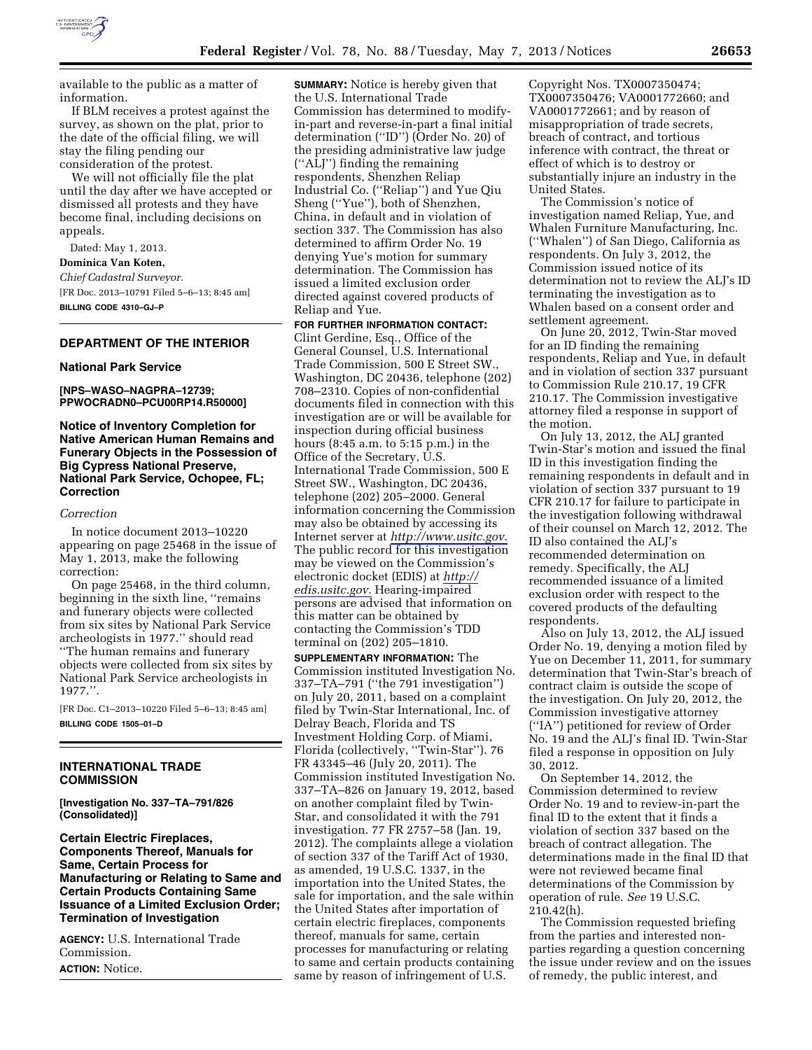

available to the public as a matter of information.

If BLM receives a protest against the survey, as shown on the plat, prior to the date of the official filing, we will stay the filing pending our consideration of the protest.

We will not officially file the plat until the day after we have accepted or dismissed all protests and they have become final, including decisions on appeals.

Dated: May 1, 2013.

**Dominica Van Koten,**  *Chief Cadastral Surveyor.*  [FR Doc. 2013–10791 Filed 5–6–13; 8:45 am] **BILLING CODE 4310–GJ–P** 

## **DEPARTMENT OF THE INTERIOR**

#### **National Park Service**

**[NPS–WASO–NAGPRA–12739; PPWOCRADN0–PCU00RP14.R50000]** 

**Notice of Inventory Completion for Native American Human Remains and Funerary Objects in the Possession of Big Cypress National Preserve, National Park Service, Ochopee, FL; Correction** 

#### *Correction*

In notice document 2013–10220 appearing on page 25468 in the issue of May 1, 2013, make the following correction:

On page 25468, in the third column, beginning in the sixth line, ''remains and funerary objects were collected from six sites by National Park Service archeologists in 1977.'' should read ''The human remains and funerary objects were collected from six sites by National Park Service archeologists in 1977.''.

[FR Doc. C1–2013–10220 Filed 5–6–13; 8:45 am] **BILLING CODE 1505–01–D** 

# **INTERNATIONAL TRADE COMMISSION**

**[Investigation No. 337–TA–791/826 (Consolidated)]** 

**Certain Electric Fireplaces, Components Thereof, Manuals for Same, Certain Process for Manufacturing or Relating to Same and Certain Products Containing Same Issuance of a Limited Exclusion Order; Termination of Investigation** 

**AGENCY:** U.S. International Trade Commission. **ACTION:** Notice.

**SUMMARY:** Notice is hereby given that the U.S. International Trade Commission has determined to modifyin-part and reverse-in-part a final initial determination (''ID'') (Order No. 20) of the presiding administrative law judge (''ALJ'') finding the remaining respondents, Shenzhen Reliap Industrial Co. (''Reliap'') and Yue Qiu Sheng (''Yue''), both of Shenzhen, China, in default and in violation of section 337. The Commission has also determined to affirm Order No. 19 denying Yue's motion for summary determination. The Commission has issued a limited exclusion order directed against covered products of Reliap and Yue.

**FOR FURTHER INFORMATION CONTACT:**  Clint Gerdine, Esq., Office of the General Counsel, U.S. International Trade Commission, 500 E Street SW., Washington, DC 20436, telephone (202) 708–2310. Copies of non-confidential documents filed in connection with this investigation are or will be available for inspection during official business hours (8:45 a.m. to 5:15 p.m.) in the Office of the Secretary, U.S. International Trade Commission, 500 E Street SW., Washington, DC 20436, telephone (202) 205–2000. General information concerning the Commission may also be obtained by accessing its

The public record for this investigation may be viewed on the Commission's electronic docket (EDIS) at *[http://](http://edis.usitc.gov)  [edis.usitc.gov.](http://edis.usitc.gov)* Hearing-impaired persons are advised that information on this matter can be obtained by contacting the Commission's TDD terminal on (202) 205–1810.

Internet server at *[http://www.usitc.gov.](http://www.usitc.gov)* 

**SUPPLEMENTARY INFORMATION:** The Commission instituted Investigation No. 337–TA–791 (''the 791 investigation'') on July 20, 2011, based on a complaint filed by Twin-Star International, Inc. of Delray Beach, Florida and TS Investment Holding Corp. of Miami, Florida (collectively, ''Twin-Star''). 76 FR 43345–46 (July 20, 2011). The Commission instituted Investigation No. 337–TA–826 on January 19, 2012, based on another complaint filed by Twin-Star, and consolidated it with the 791 investigation. 77 FR 2757–58 (Jan. 19, 2012). The complaints allege a violation of section 337 of the Tariff Act of 1930, as amended, 19 U.S.C. 1337, in the importation into the United States, the sale for importation, and the sale within the United States after importation of certain electric fireplaces, components thereof, manuals for same, certain processes for manufacturing or relating to same and certain products containing same by reason of infringement of U.S.

Copyright Nos. TX0007350474; TX0007350476; VA0001772660; and VA0001772661; and by reason of misappropriation of trade secrets, breach of contract, and tortious inference with contract, the threat or effect of which is to destroy or substantially injure an industry in the United States.

The Commission's notice of investigation named Reliap, Yue, and Whalen Furniture Manufacturing, Inc. (''Whalen'') of San Diego, California as respondents. On July 3, 2012, the Commission issued notice of its determination not to review the ALJ's ID terminating the investigation as to Whalen based on a consent order and settlement agreement.

On June 20, 2012, Twin-Star moved for an ID finding the remaining respondents, Reliap and Yue, in default and in violation of section 337 pursuant to Commission Rule 210.17, 19 CFR 210.17. The Commission investigative attorney filed a response in support of the motion.

On July 13, 2012, the ALJ granted Twin-Star's motion and issued the final ID in this investigation finding the remaining respondents in default and in violation of section 337 pursuant to 19 CFR 210.17 for failure to participate in the investigation following withdrawal of their counsel on March 12, 2012. The ID also contained the ALJ's recommended determination on remedy. Specifically, the ALJ recommended issuance of a limited exclusion order with respect to the covered products of the defaulting respondents.

Also on July 13, 2012, the ALJ issued Order No. 19, denying a motion filed by Yue on December 11, 2011, for summary determination that Twin-Star's breach of contract claim is outside the scope of the investigation. On July 20, 2012, the Commission investigative attorney (''IA'') petitioned for review of Order No. 19 and the ALJ's final ID. Twin-Star filed a response in opposition on July 30, 2012.

On September 14, 2012, the Commission determined to review Order No. 19 and to review-in-part the final ID to the extent that it finds a violation of section 337 based on the breach of contract allegation. The determinations made in the final ID that were not reviewed became final determinations of the Commission by operation of rule. *See* 19 U.S.C. 210.42(h).

The Commission requested briefing from the parties and interested nonparties regarding a question concerning the issue under review and on the issues of remedy, the public interest, and